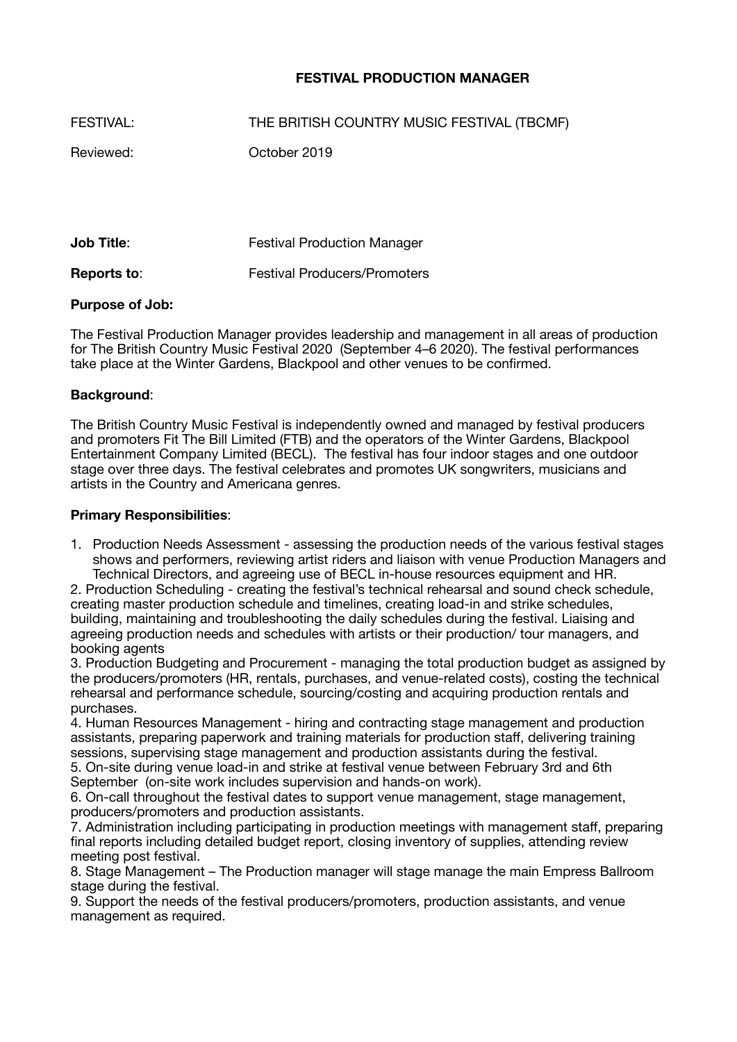# **FESTIVAL PRODUCTION MANAGER**

| FESTIVAL: | THE BRITISH COUNTRY MUSIC FESTIVAL (TBCMF) |
|-----------|--------------------------------------------|
| Reviewed: | October 2019                               |
|           |                                            |

**Job Title: Compared Festival Production Manager Reports to:** Festival Producers/Promoters

# **Purpose of Job:**

The Festival Production Manager provides leadership and management in all areas of production for The British Country Music Festival 2020 (September 4–6 2020). The festival performances take place at the Winter Gardens, Blackpool and other venues to be confirmed.

# **Background**:

The British Country Music Festival is independently owned and managed by festival producers and promoters Fit The Bill Limited (FTB) and the operators of the Winter Gardens, Blackpool Entertainment Company Limited (BECL). The festival has four indoor stages and one outdoor stage over three days. The festival celebrates and promotes UK songwriters, musicians and artists in the Country and Americana genres.

## **Primary Responsibilities**:

1. Production Needs Assessment - assessing the production needs of the various festival stages shows and performers, reviewing artist riders and liaison with venue Production Managers and Technical Directors, and agreeing use of BECL in-house resources equipment and HR.

2. Production Scheduling - creating the festival's technical rehearsal and sound check schedule, creating master production schedule and timelines, creating load-in and strike schedules, building, maintaining and troubleshooting the daily schedules during the festival. Liaising and agreeing production needs and schedules with artists or their production/ tour managers, and booking agents

3. Production Budgeting and Procurement - managing the total production budget as assigned by the producers/promoters (HR, rentals, purchases, and venue-related costs), costing the technical rehearsal and performance schedule, sourcing/costing and acquiring production rentals and purchases.

4. Human Resources Management - hiring and contracting stage management and production assistants, preparing paperwork and training materials for production staff, delivering training sessions, supervising stage management and production assistants during the festival.

5. On-site during venue load-in and strike at festival venue between February 3rd and 6th September (on-site work includes supervision and hands-on work).

6. On-call throughout the festival dates to support venue management, stage management, producers/promoters and production assistants.

7. Administration including participating in production meetings with management staff, preparing final reports including detailed budget report, closing inventory of supplies, attending review meeting post festival.

8. Stage Management – The Production manager will stage manage the main Empress Ballroom stage during the festival.

9. Support the needs of the festival producers/promoters, production assistants, and venue management as required.